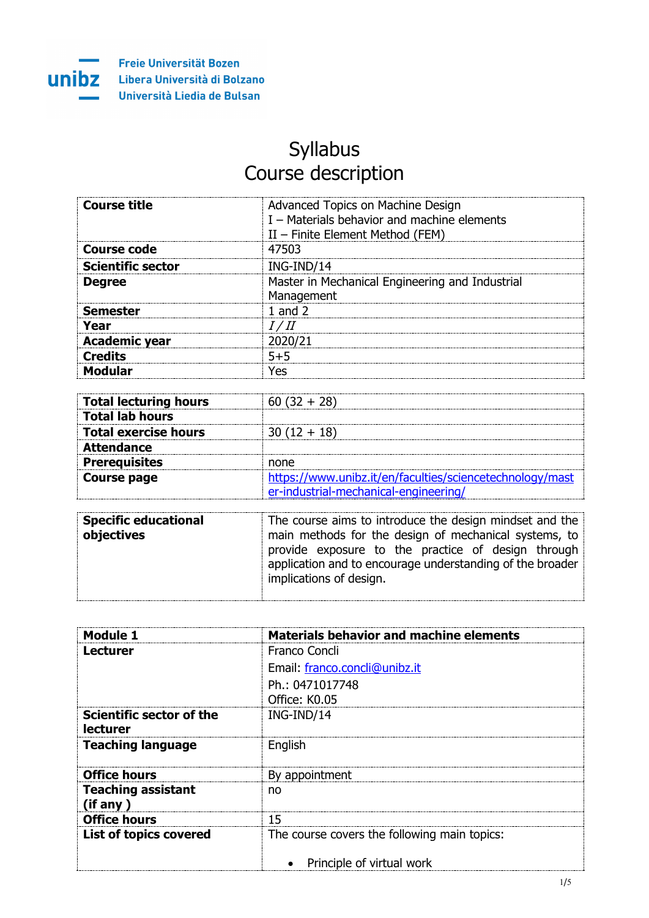

## Syllabus Course description

| Course title             | Advanced Topics on Machine Design<br>I - Materials behavior and machine elements<br>$II$ – Finite Element Method (FEM) |
|--------------------------|------------------------------------------------------------------------------------------------------------------------|
| Course code              | 47503                                                                                                                  |
| <b>Scientific sector</b> | ING-IND/14                                                                                                             |
| <b>Degree</b>            | Master in Mechanical Engineering and Industrial<br>Management                                                          |
| Semester                 |                                                                                                                        |
| Year                     |                                                                                                                        |
| <b>Academic year</b>     |                                                                                                                        |
| Credits                  |                                                                                                                        |
|                          | ρς                                                                                                                     |

| <b>Total lecturing hours</b> |                                                          |
|------------------------------|----------------------------------------------------------|
| <b>Total lab hours</b>       |                                                          |
| <b>Total exercise hours</b>  | $30(12 + 18)$                                            |
| <b>Attendance</b>            |                                                          |
| <b>Prereguisites</b>         | none                                                     |
| Course page                  | https://www.unibz.it/en/faculties/sciencetechnology/mast |
|                              | er-industrial-mechanical-engineering/                    |

| <b>Specific educational</b> | The course aims to introduce the design mindset and the   |
|-----------------------------|-----------------------------------------------------------|
| objectives                  | main methods for the design of mechanical systems, to     |
|                             | provide exposure to the practice of design through        |
|                             | application and to encourage understanding of the broader |
|                             | implications of design.                                   |
|                             |                                                           |

| Module 1                  | <b>Materials behavior and machine elements</b> |
|---------------------------|------------------------------------------------|
| Lecturer                  | Franco Concli                                  |
|                           | Email: franco.concli@unibz.it                  |
|                           | Ph.: 0471017748                                |
|                           | Office: K0.05                                  |
| Scientific sector of the  | ING-IND/14                                     |
| <b>lecturer</b>           |                                                |
| <b>Teaching language</b>  | English                                        |
|                           |                                                |
| <b>Office hours</b>       | By appointment                                 |
| <b>Teaching assistant</b> | no                                             |
| (if any)                  |                                                |
| <b>Office hours</b>       | 15                                             |
| List of topics covered    | The course covers the following main topics:   |
|                           |                                                |
|                           | Principle of virtual work                      |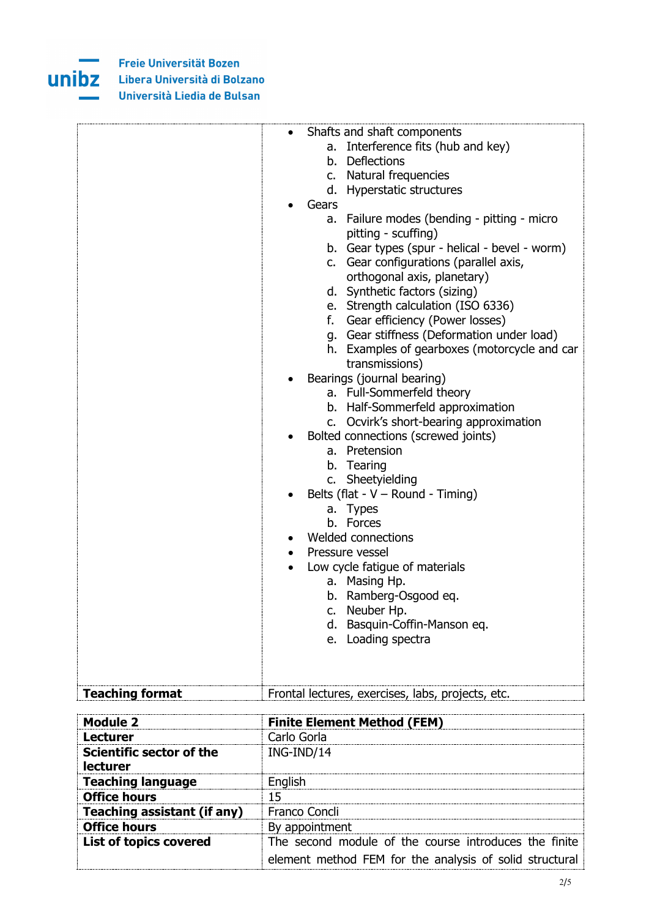

Freie Universität Bozen **UNIDZ** Libera Università di Bolzano Università Liedia de Bulsan

|                        | Shafts and shaft components                       |
|------------------------|---------------------------------------------------|
|                        | a. Interference fits (hub and key)                |
|                        | b. Deflections                                    |
|                        | c. Natural frequencies                            |
|                        | d. Hyperstatic structures                         |
|                        | Gears                                             |
|                        | a. Failure modes (bending - pitting - micro       |
|                        | pitting - scuffing)                               |
|                        | b. Gear types (spur - helical - bevel - worm)     |
|                        | c. Gear configurations (parallel axis,            |
|                        | orthogonal axis, planetary)                       |
|                        | d. Synthetic factors (sizing)                     |
|                        | e. Strength calculation (ISO 6336)                |
|                        | f. Gear efficiency (Power losses)                 |
|                        | g. Gear stiffness (Deformation under load)        |
|                        | h. Examples of gearboxes (motorcycle and car      |
|                        | transmissions)                                    |
|                        | Bearings (journal bearing)                        |
|                        | a. Full-Sommerfeld theory                         |
|                        | b. Half-Sommerfeld approximation                  |
|                        | c. Ocvirk's short-bearing approximation           |
|                        | Bolted connections (screwed joints)               |
|                        | a. Pretension                                     |
|                        | b. Tearing                                        |
|                        | c. Sheetyielding                                  |
|                        | Belts (flat - $V$ – Round - Timing)               |
|                        | a. Types                                          |
|                        | b. Forces                                         |
|                        | Welded connections                                |
|                        | Pressure vessel                                   |
|                        | Low cycle fatigue of materials                    |
|                        | a. Masing Hp.                                     |
|                        | b. Ramberg-Osgood eq.                             |
|                        | c. Neuber Hp.                                     |
|                        | Basquin-Coffin-Manson eq.<br>d.                   |
|                        | Loading spectra<br>е.                             |
|                        |                                                   |
|                        |                                                   |
| <b>Teaching format</b> | Frontal lectures, exercises, labs, projects, etc. |

| Module 2                        | <b>Finite Element Method (FEM)</b>                      |
|---------------------------------|---------------------------------------------------------|
| Lecturer                        | Carlo Gorla                                             |
| <b>Scientific sector of the</b> | ING-IND/14                                              |
| <b>lecturer</b>                 |                                                         |
| <b>Teaching language</b>        | Enalish                                                 |
| <b>Office hours</b>             | 15                                                      |
| Teaching assistant (if any)     | Franco Concli                                           |
| <b>Office hours</b>             | By appointment                                          |
| <b>List of topics covered</b>   | The second module of the course introduces the finite   |
|                                 | element method FEM for the analysis of solid structural |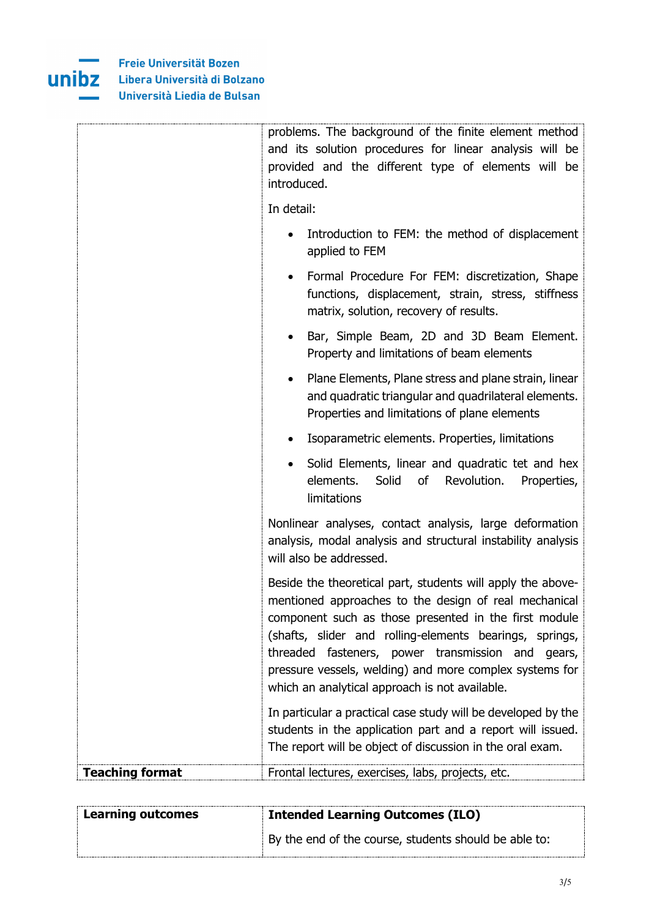

|                        | problems. The background of the finite element method<br>and its solution procedures for linear analysis will be<br>provided and the different type of elements will be<br>introduced.                                                                                                                                                                                                                     |
|------------------------|------------------------------------------------------------------------------------------------------------------------------------------------------------------------------------------------------------------------------------------------------------------------------------------------------------------------------------------------------------------------------------------------------------|
|                        | In detail:                                                                                                                                                                                                                                                                                                                                                                                                 |
|                        | Introduction to FEM: the method of displacement<br>applied to FEM                                                                                                                                                                                                                                                                                                                                          |
|                        | Formal Procedure For FEM: discretization, Shape<br>functions, displacement, strain, stress, stiffness<br>matrix, solution, recovery of results.                                                                                                                                                                                                                                                            |
|                        | Bar, Simple Beam, 2D and 3D Beam Element.<br>٠<br>Property and limitations of beam elements                                                                                                                                                                                                                                                                                                                |
|                        | Plane Elements, Plane stress and plane strain, linear<br>$\bullet$<br>and quadratic triangular and quadrilateral elements.<br>Properties and limitations of plane elements                                                                                                                                                                                                                                 |
|                        | Isoparametric elements. Properties, limitations                                                                                                                                                                                                                                                                                                                                                            |
|                        | Solid Elements, linear and quadratic tet and hex<br>elements.<br>Solid<br>of<br>Revolution.<br>Properties,<br>limitations                                                                                                                                                                                                                                                                                  |
|                        | Nonlinear analyses, contact analysis, large deformation<br>analysis, modal analysis and structural instability analysis<br>will also be addressed.                                                                                                                                                                                                                                                         |
|                        | Beside the theoretical part, students will apply the above-<br>mentioned approaches to the design of real mechanical<br>component such as those presented in the first module<br>(shafts, slider and rolling-elements bearings, springs,<br>threaded fasteners, power transmission and gears,<br>pressure vessels, welding) and more complex systems for<br>which an analytical approach is not available. |
|                        | In particular a practical case study will be developed by the<br>students in the application part and a report will issued.<br>The report will be object of discussion in the oral exam.                                                                                                                                                                                                                   |
| <b>Teaching format</b> | Frontal lectures, exercises, labs, projects, etc.                                                                                                                                                                                                                                                                                                                                                          |

| <b>Learning outcomes</b> | <b>Intended Learning Outcomes (ILO)</b>               |
|--------------------------|-------------------------------------------------------|
|                          | By the end of the course, students should be able to: |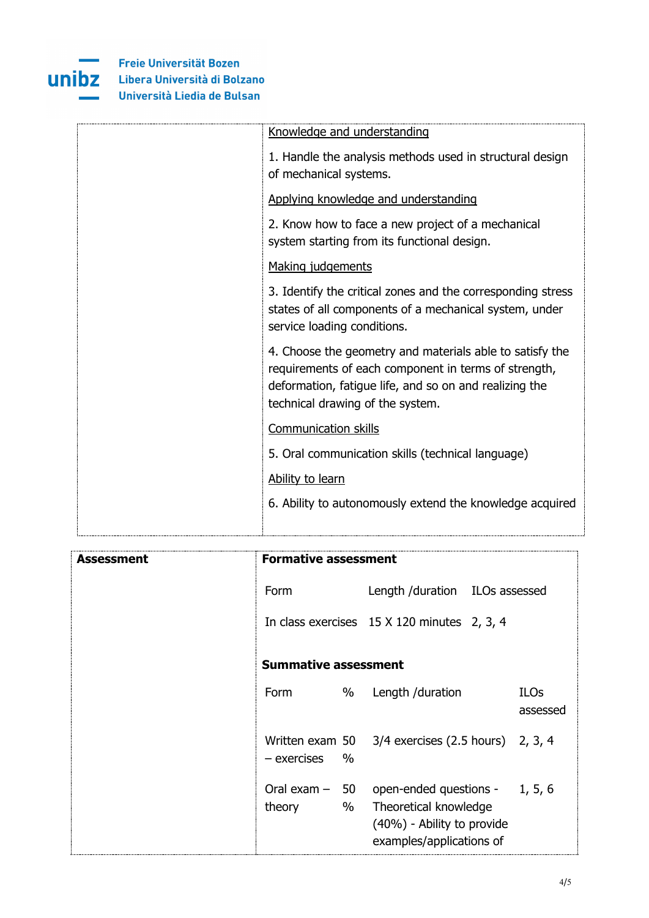

| Knowledge and understanding                                                                                                                                                                                    |
|----------------------------------------------------------------------------------------------------------------------------------------------------------------------------------------------------------------|
| 1. Handle the analysis methods used in structural design<br>of mechanical systems.                                                                                                                             |
| Applying knowledge and understanding                                                                                                                                                                           |
| 2. Know how to face a new project of a mechanical<br>system starting from its functional design.                                                                                                               |
| Making judgements                                                                                                                                                                                              |
| 3. Identify the critical zones and the corresponding stress<br>states of all components of a mechanical system, under<br>service loading conditions.                                                           |
| 4. Choose the geometry and materials able to satisfy the<br>requirements of each component in terms of strength,<br>deformation, fatigue life, and so on and realizing the<br>technical drawing of the system. |
| <b>Communication skills</b>                                                                                                                                                                                    |
| 5. Oral communication skills (technical language)                                                                                                                                                              |
| Ability to learn                                                                                                                                                                                               |
| 6. Ability to autonomously extend the knowledge acquired                                                                                                                                                       |

| Assessment | <b>Formative assessment</b> |                                                                                                                                    |                         |
|------------|-----------------------------|------------------------------------------------------------------------------------------------------------------------------------|-------------------------|
|            | Form                        | Length /duration ILOs assessed                                                                                                     |                         |
|            |                             | In class exercises 15 X 120 minutes 2, 3, 4                                                                                        |                         |
|            | <b>Summative assessment</b> |                                                                                                                                    |                         |
|            | <b>Form</b><br>%            | Length /duration                                                                                                                   | <b>ILOs</b><br>assessed |
|            | $\%$<br>- exercises         | Written exam $50\quad 3/4$ exercises (2.5 hours) 2, 3, 4                                                                           |                         |
|            | %<br>theory                 | Oral exam $-$ 50 open-ended questions - 1, 5, 6<br>Theoretical knowledge<br>(40%) - Ability to provide<br>examples/applications of |                         |